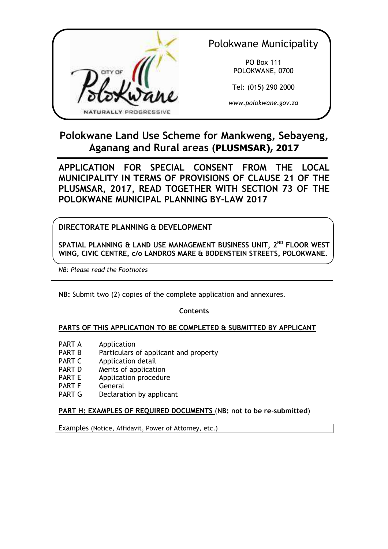

Polokwane Municipality

PO Box 111 POLOKWANE, 0700

Tel: (015) 290 2000

*www.polokwane.gov.za* 

# **Polokwane Land Use Scheme for Mankweng, Sebayeng, Aganang and Rural areas (PLUSMSAR), 2017**

**APPLICATION FOR SPECIAL CONSENT FROM THE LOCAL MUNICIPALITY IN TERMS OF PROVISIONS OF CLAUSE 21 OF THE PLUSMSAR, 2017, READ TOGETHER WITH SECTION 73 OF THE POLOKWANE MUNICIPAL PLANNING BY-LAW 2017** 

# **DIRECTORATE PLANNING & DEVELOPMENT**

**SPATIAL PLANNING & LAND USE MANAGEMENT BUSINESS UNIT, 2ND FLOOR WEST WING, CIVIC CENTRE, c/o LANDROS MARE & BODENSTEIN STREETS, POLOKWANE.** 

*NB: Please read the Footnotes* 

**NB:** Submit two (2) copies of the complete application and annexures.

**Contents** 

# **PARTS OF THIS APPLICATION TO BE COMPLETED & SUBMITTED BY APPLICANT**

- PART A Application
- PART B Particulars of applicant and property
- PART C Application detail
- PART D Merits of application
- PART E Application procedure
- 
- PART F General<br>PART G Declarat Declaration by applicant

# **PART H: EXAMPLES OF REQUIRED DOCUMENTS** (**NB: not to be re-submitted**)

Examples (Notice, Affidavit, Power of Attorney, etc.)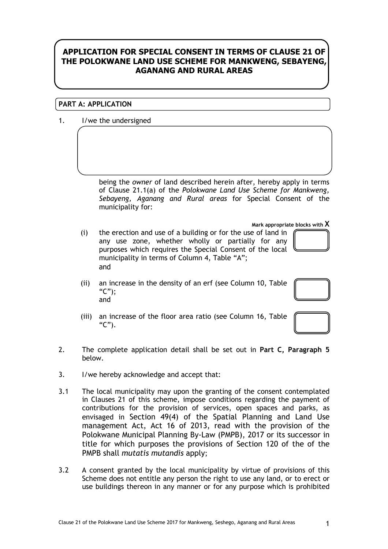# **APPLICATION FOR SPECIAL CONSENT IN TERMS OF CLAUSE 21 OF THE POLOKWANE LAND USE SCHEME FOR MANKWENG, SEBAYENG, AGANANG AND RURAL AREAS**

### **PART A: APPLICATION**

1. I/we the undersigned

being the *owner* of land described herein after, hereby apply in terms of Clause 21.1(a) of the *Polokwane Land Use Scheme for Mankweng, Sebayeng, Aganang and Rural areas* for Special Consent of the municipality for:

**Mark appropriate blocks with X**

- (i) the erection and use of a building or for the use of land in any use zone, whether wholly or partially for any purposes which requires the Special Consent of the local municipality in terms of Column 4, Table "A"; and
- (ii) an increase in the density of an erf (see Column 10, Table  $"C"$ : and
- (iii) an increase of the floor area ratio (see Column 16, Table " $C$ ").
- 2. The complete application detail shall be set out in **Part C, Paragraph 5** below.
- 3. I/we hereby acknowledge and accept that:
- 3.1 The local municipality may upon the granting of the consent contemplated in Clauses 21 of this scheme, impose conditions regarding the payment of contributions for the provision of services, open spaces and parks, as envisaged in Section 49(4) of the Spatial Planning and Land Use management Act, Act 16 of 2013, read with the provision of the Polokwane Municipal Planning By-Law (PMPB), 2017 or its successor in title for which purposes the provisions of Section 120 of the of the PMPB shall *mutatis mutandis* apply;
- 3.2 A consent granted by the local municipality by virtue of provisions of this Scheme does not entitle any person the right to use any land, or to erect or use buildings thereon in any manner or for any purpose which is prohibited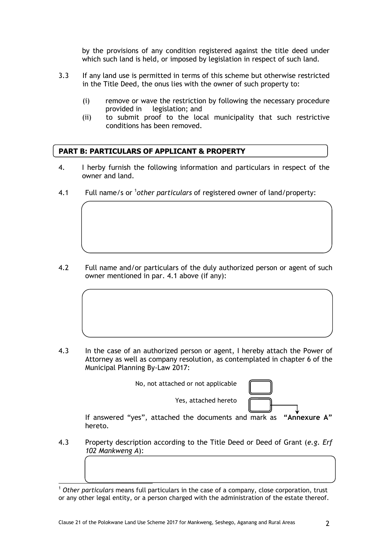by the provisions of any condition registered against the title deed under which such land is held, or imposed by legislation in respect of such land.

- 3.3 If any land use is permitted in terms of this scheme but otherwise restricted in the Title Deed, the onus lies with the owner of such property to:
	- (i) remove or wave the restriction by following the necessary procedure provided in legislation; and
	- (ii) to submit proof to the local municipality that such restrictive conditions has been removed.

#### **PART B: PARTICULARS OF APPLICANT & PROPERTY**

- 4. I herby furnish the following information and particulars in respect of the owner and land.
- 4.1 Full name/s or <sup>1</sup>other particulars of registered owner of land/property:

4.2 Full name and/or particulars of the duly authorized person or agent of such owner mentioned in par. 4.1 above (if any):

4.3 In the case of an authorized person or agent, I hereby attach the Power of Attorney as well as company resolution, as contemplated in chapter 6 of the Municipal Planning By-Law 2017:





If answered "yes", attached the documents and mark as **"Annexure A"** hereto.

Yes, attached hereto

4.3 Property description according to the Title Deed or Deed of Grant (*e.g. Erf 102 Mankweng A*):

-<sup>1</sup> *Other particulars* means full particulars in the case of a company, close corporation, trust or any other legal entity, or a person charged with the administration of the estate thereof.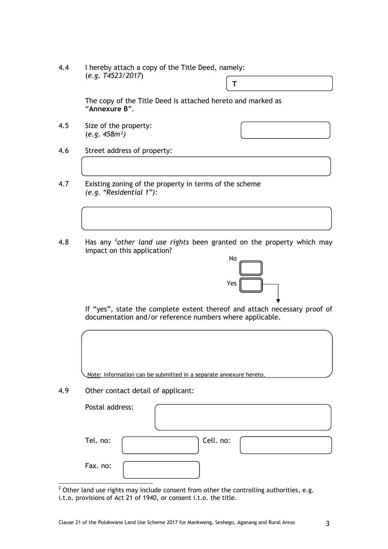4.4 I hereby attach a copy of the Title Deed, namely: (*e.g. T4523/2017*) **T**

> The copy of the Title Deed is attached hereto and marked as "**Annexure B**".

4.5 Size of the property: (*e.g. 458m²)*

- 4.6 Street address of property:
- 4.7 Existing zoning of the property in terms of the scheme *(e.g. "Residential 1"):*
- 4.8 Has any <sup>2</sup>other land use rights been granted on the property which may impact on this application?



If "yes", state the complete extent thereof and attach necessary proof of documentation and/or reference numbers where applicable.

Note: Information can be submitted in a separate annexure hereto.

4.9 Other contact detail of applicant:

| Postal address: |           |
|-----------------|-----------|
| Tel. no:        | Cell. no: |
| Fax. no:        |           |

 $\frac{1}{2}$  Other land use rights may include consent from other the controlling authorities, e.g. i.t.o. provisions of Act 21 of 1940, or consent i.t.o. the title.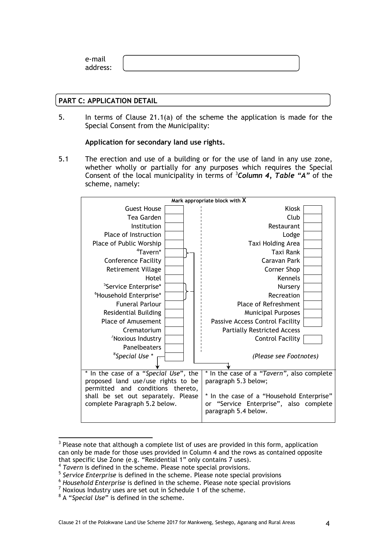e-mail address:

#### **PART C: APPLICATION DETAIL**

5. In terms of Clause 21.1(a) of the scheme the application is made for the Special Consent from the Municipality:

**Application for secondary land use rights.**

5.1 The erection and use of a building or for the use of land in any use zone, whether wholly or partially for any purposes which requires the Special Consent of the local municipality in terms of <sup>3</sup>*Column 4, Table "A"* of the scheme, namely:



<sup>-</sup> $3$  Please note that although a complete list of uses are provided in this form, application can only be made for those uses provided in Column 4 and the rows as contained opposite that specific Use Zone (e.g. "Residential 1" only contains 7 uses).

 $<sup>7</sup>$  Noxious Industry uses are set out in Schedule 1 of the scheme.</sup>

<sup>&</sup>lt;sup>4</sup> Tavern is defined in the scheme. Please note special provisions.

<sup>5</sup> *Service Enterprise* is defined in the scheme. Please note special provisions

<sup>6</sup> *Household Enterprise* is defined in the scheme. Please note special provisions

<sup>8</sup> A "*Special Use*" is defined in the scheme.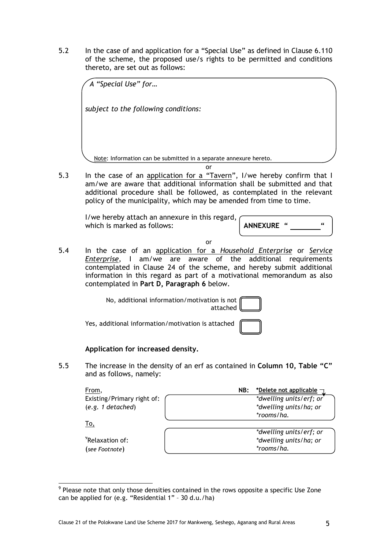5.2 In the case of and application for a "Special Use" as defined in Clause 6.110 of the scheme, the proposed use/s rights to be permitted and conditions thereto, are set out as follows:

| A "Special Use" for                                               |  |
|-------------------------------------------------------------------|--|
| subject to the following conditions:                              |  |
|                                                                   |  |
|                                                                   |  |
| Note: Information can be submitted in a separate annexure hereto. |  |
| or                                                                |  |

5.3 In the case of an application for a "Tavern", I/we hereby confirm that I am/we are aware that additional information shall be submitted and that additional procedure shall be followed, as contemplated in the relevant policy of the municipality, which may be amended from time to time.

I/we hereby attach an annexure in this regard, which is marked as follows: **ANNEXURE** "

or

5.4 In the case of an application for a *Household Enterprise* or *Service Enterprise*, I am/we are aware of the additional requirements contemplated in Clause 24 of the scheme, and hereby submit additional information in this regard as part of a motivational memorandum as also contemplated in **Part D, Paragraph 6** below.

> No, additional information/motivation is not attached

Yes, additional information/motivation is attached

# **Application for increased density.**

5.5 The increase in the density of an erf as contained in **Column 10, Table "C"** and as follows, namely:

| From,                       | NB: | *Delete not applicable  |
|-----------------------------|-----|-------------------------|
| Existing/Primary right of:  |     | *dwelling units/erf; or |
| (e.g. 1 detached)           |     | *dwelling units/ha; or  |
|                             |     | *rooms/ha.              |
| To,                         |     |                         |
|                             |     | *dwelling units/erf; or |
| <sup>9</sup> Relaxation of: |     | *dwelling units/ha; or  |
| (see Footnote)              |     | *rooms/ha.              |

<sup>-</sup> $9$  Please note that only those densities contained in the rows opposite a specific Use Zone can be applied for (e.g. "Residential 1" – 30 d.u./ha)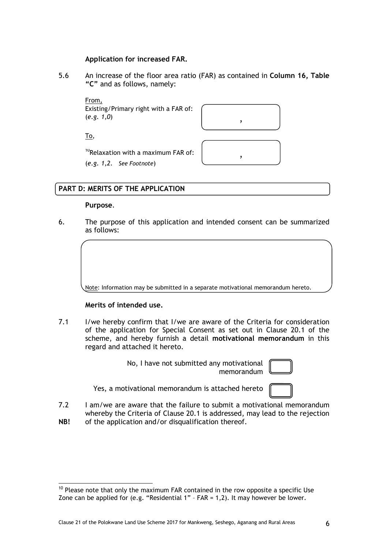#### **Application for increased FAR.**

5.6 An increase of the floor area ratio (FAR) as contained in **Column 16, Table "C"** and as follows, namely:

From, Existing/Primary right with a FAR of: (*e.g. 1,0*) ,



 $10$ Relaxation with a maximum FAR of:  $\begin{bmatrix} \cdot & \cdot & \cdot & \cdot \\ \cdot & \cdot & \cdot & \cdot \\ \cdot & \cdot & \cdot & \cdot \end{bmatrix}$ (*e.g. 1,2*. *See Footnote*)



#### **PART D: MERITS OF THE APPLICATION**

#### **Purpose**.

To,

6. The purpose of this application and intended consent can be summarized as follows:

Note: Information may be submitted in a separate motivational memorandum hereto.

#### **Merits of intended use.**

7.1 I/we hereby confirm that I/we are aware of the Criteria for consideration of the application for Special Consent as set out in Clause 20.1 of the scheme, and hereby furnish a detail **motivational memorandum** in this regard and attached it hereto.

> No, I have not submitted any motivational memorandum

Yes, a motivational memorandum is attached hereto

- 7.2 I am/we are aware that the failure to submit a motivational memorandum whereby the Criteria of Clause 20.1 is addressed, may lead to the rejection
- **NB!**  of the application and/or disqualification thereof.

<sup>-</sup> $10$  Please note that only the maximum FAR contained in the row opposite a specific Use Zone can be applied for (e.g. "Residential 1" – FAR = 1,2). It may however be lower.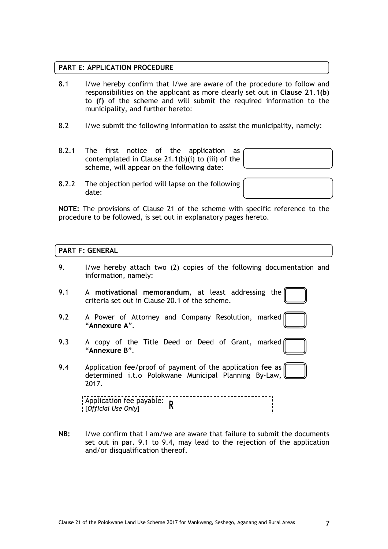#### **PART E: APPLICATION PROCEDURE**

- 8.1 I/we hereby confirm that I/we are aware of the procedure to follow and responsibilities on the applicant as more clearly set out in **Clause 21.1(b)**  to **(f)** of the scheme and will submit the required information to the municipality, and further hereto:
- 8.2 I/we submit the following information to assist the municipality, namely:
- 8.2.1 The first notice of the application as contemplated in Clause 21.1(b)(i) to (iii) of the scheme, will appear on the following date:

8.2.2 The objection period will lapse on the following date:

**NOTE:** The provisions of Clause 21 of the scheme with specific reference to the procedure to be followed, is set out in explanatory pages hereto.

#### **PART F: GENERAL**

- 9. I/we hereby attach two (2) copies of the following documentation and information, namely: 9.1 A **motivational memorandum**, at least addressing the criteria set out in Clause 20.1 of the scheme. 9.2 A Power of Attorney and Company Resolution, marked "**Annexure A**". 9.3 A copy of the Title Deed or Deed of Grant, marked "**Annexure B**". 9.4 Application fee/proof of payment of the application fee as determined i.t.o Polokwane Municipal Planning By-Law, 2017. Application fee payable: [*Official Use Only*]
- **NB:** I/we confirm that I am/we are aware that failure to submit the documents set out in par. 9.1 to 9.4, may lead to the rejection of the application and/or disqualification thereof.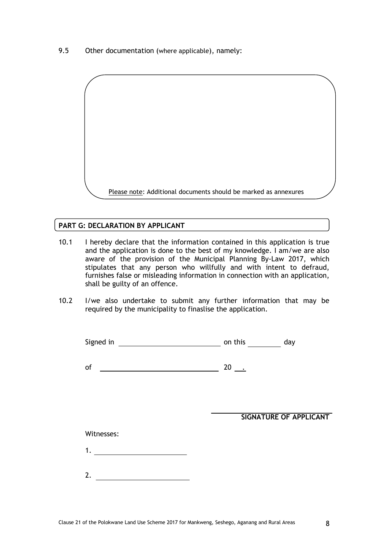9.5 Other documentation (where applicable), namely:



#### **PART G: DECLARATION BY APPLICANT**

- 10.1 I hereby declare that the information contained in this application is true and the application is done to the best of my knowledge. I am/we are also aware of the provision of the Municipal Planning By-Law 2017, which stipulates that any person who willfully and with intent to defraud, furnishes false or misleading information in connection with an application, shall be guilty of an offence.
- 10.2 I/we also undertake to submit any further information that may be required by the municipality to finaslise the application.

| Signed in | on this |  |
|-----------|---------|--|
|           |         |  |

of  $\frac{1}{20}$  ...

**SIGNATURE OF APPLICANT**

#### Witnesses:

- 1.
- 2.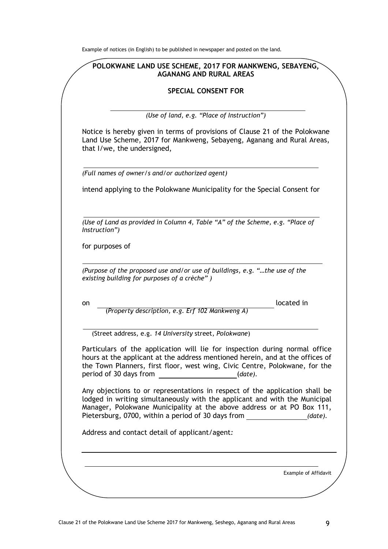Example of notices (in English) to be published in newspaper and posted on the land.

### **POLOKWANE LAND USE SCHEME, 2017 FOR MANKWENG, SEBAYENG, AGANANG AND RURAL AREAS**

#### **SPECIAL CONSENT FOR**

*(Use of land, e.g. "Place of Instruction")* 

Notice is hereby given in terms of provisions of Clause 21 of the Polokwane Land Use Scheme, 2017 for Mankweng, Sebayeng, Aganang and Rural Areas, that I/we, the undersigned,

*(Full names of owner/s and/or authorized agent)* 

intend applying to the Polokwane Municipality for the Special Consent for

*(Use of Land as provided in Column 4, Table "A" of the Scheme, e.g. "Place of Instruction")* 

for purposes of

*(Purpose of the proposed use and/or use of buildings, e.g. "…the use of the existing building for purposes of a crèche" )* 

on located in

(Street address, e.g. *14 University* street*, Polokwane*)

(*Property description, e.g. Erf 102 Mankweng A)* 

Particulars of the application will lie for inspection during normal office hours at the applicant at the address mentioned herein, and at the offices of the Town Planners, first floor, west wing, Civic Centre, Polokwane, for the period of 30 days from (*date).*

Any objections to or representations in respect of the application shall be lodged in writing simultaneously with the applicant and with the Municipal Manager, Polokwane Municipality at the above address or at PO Box 111, Pietersburg, 0700, within a period of 30 days from *(date).*

Address and contact detail of applicant/agent*:* 

Example of Affidavit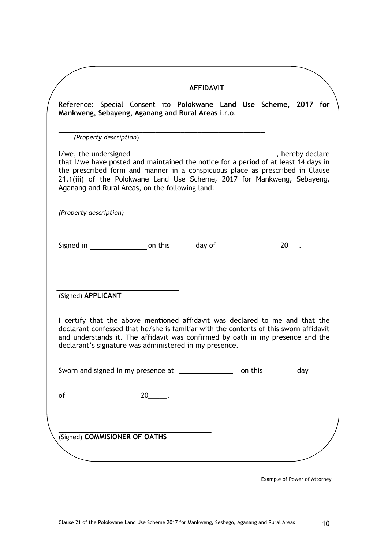|                        |                        |                                                                                                                                                                                                                                                                                                                                               | <b>AFFIDAVIT</b> |  |  |  |
|------------------------|------------------------|-----------------------------------------------------------------------------------------------------------------------------------------------------------------------------------------------------------------------------------------------------------------------------------------------------------------------------------------------|------------------|--|--|--|
|                        |                        | Reference: Special Consent ito Polokwane Land Use Scheme, 2017 for<br>Mankweng, Sebayeng, Aganang and Rural Areas i.r.o.                                                                                                                                                                                                                      |                  |  |  |  |
|                        | (Property description) |                                                                                                                                                                                                                                                                                                                                               |                  |  |  |  |
|                        |                        | $1/$ we, the undersigned $\frac{1}{2}$<br>that I/we have posted and maintained the notice for a period of at least 14 days in<br>the prescribed form and manner in a conspicuous place as prescribed in Clause<br>21.1(iii) of the Polokwane Land Use Scheme, 2017 for Mankweng, Sebayeng,<br>Aganang and Rural Areas, on the following land: |                  |  |  |  |
| (Property description) |                        |                                                                                                                                                                                                                                                                                                                                               |                  |  |  |  |
|                        |                        |                                                                                                                                                                                                                                                                                                                                               |                  |  |  |  |
| (Signed) APPLICANT     |                        |                                                                                                                                                                                                                                                                                                                                               |                  |  |  |  |
|                        |                        | I certify that the above mentioned affidavit was declared to me and that the<br>declarant confessed that he/she is familiar with the contents of this sworn affidavit<br>and understands it. The affidavit was confirmed by oath in my presence and the<br>declarant's signature was administered in my presence.                             |                  |  |  |  |
|                        |                        | Sworn and signed in my presence at ____________________ on this __________ day                                                                                                                                                                                                                                                                |                  |  |  |  |
|                        |                        |                                                                                                                                                                                                                                                                                                                                               |                  |  |  |  |
|                        |                        |                                                                                                                                                                                                                                                                                                                                               |                  |  |  |  |
|                        |                        | (Signed) COMMISIONER OF OATHS                                                                                                                                                                                                                                                                                                                 |                  |  |  |  |

Example of Power of Attorney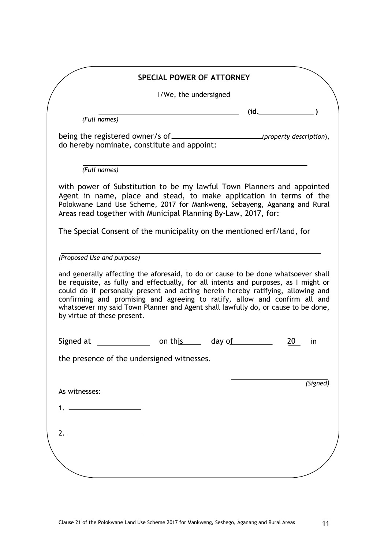|                                                                                                                                                                                                                                                                                                                                                                                                                                                                            | <b>SPECIAL POWER OF ATTORNEY</b> |        |      |          |
|----------------------------------------------------------------------------------------------------------------------------------------------------------------------------------------------------------------------------------------------------------------------------------------------------------------------------------------------------------------------------------------------------------------------------------------------------------------------------|----------------------------------|--------|------|----------|
|                                                                                                                                                                                                                                                                                                                                                                                                                                                                            | I/We, the undersigned            |        |      |          |
|                                                                                                                                                                                                                                                                                                                                                                                                                                                                            |                                  |        | (id. |          |
| (Full names)                                                                                                                                                                                                                                                                                                                                                                                                                                                               |                                  |        |      |          |
| do hereby nominate, constitute and appoint:                                                                                                                                                                                                                                                                                                                                                                                                                                |                                  |        |      |          |
| (Full names)                                                                                                                                                                                                                                                                                                                                                                                                                                                               |                                  |        |      |          |
| with power of Substitution to be my lawful Town Planners and appointed<br>Agent in name, place and stead, to make application in terms of the<br>Polokwane Land Use Scheme, 2017 for Mankweng, Sebayeng, Aganang and Rural<br>Areas read together with Municipal Planning By-Law, 2017, for:                                                                                                                                                                               |                                  |        |      |          |
| The Special Consent of the municipality on the mentioned erf/land, for                                                                                                                                                                                                                                                                                                                                                                                                     |                                  |        |      |          |
| (Proposed Use and purpose)                                                                                                                                                                                                                                                                                                                                                                                                                                                 |                                  |        |      |          |
|                                                                                                                                                                                                                                                                                                                                                                                                                                                                            |                                  |        |      |          |
|                                                                                                                                                                                                                                                                                                                                                                                                                                                                            |                                  |        |      |          |
| and generally affecting the aforesaid, to do or cause to be done whatsoever shall<br>be requisite, as fully and effectually, for all intents and purposes, as I might or<br>could do if personally present and acting herein hereby ratifying, allowing and<br>confirming and promising and agreeing to ratify, allow and confirm all and<br>whatsoever my said Town Planner and Agent shall lawfully do, or cause to be done,<br>by virtue of these present.<br>Signed at | on this                          | day of | 20   | in       |
|                                                                                                                                                                                                                                                                                                                                                                                                                                                                            |                                  |        |      |          |
|                                                                                                                                                                                                                                                                                                                                                                                                                                                                            |                                  |        |      |          |
| the presence of the undersigned witnesses.<br>As witnesses:                                                                                                                                                                                                                                                                                                                                                                                                                |                                  |        |      | (Signed) |
|                                                                                                                                                                                                                                                                                                                                                                                                                                                                            |                                  |        |      |          |
| 2. $\overline{\phantom{a}}$                                                                                                                                                                                                                                                                                                                                                                                                                                                |                                  |        |      |          |
|                                                                                                                                                                                                                                                                                                                                                                                                                                                                            |                                  |        |      |          |